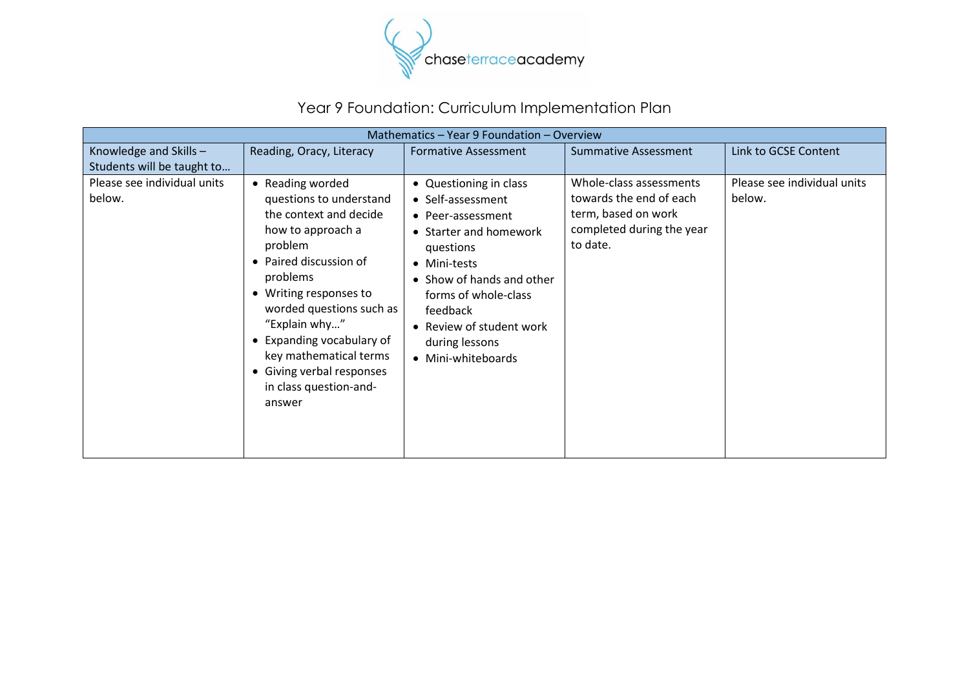

## Year 9 Foundation: Curriculum Implementation Plan

| Mathematics - Year 9 Foundation - Overview           |                                                                                                                                                                                                                                                                                                                                            |                                                                                                                                                                                                                                                              |                                                                                                                    |                                       |
|------------------------------------------------------|--------------------------------------------------------------------------------------------------------------------------------------------------------------------------------------------------------------------------------------------------------------------------------------------------------------------------------------------|--------------------------------------------------------------------------------------------------------------------------------------------------------------------------------------------------------------------------------------------------------------|--------------------------------------------------------------------------------------------------------------------|---------------------------------------|
| Knowledge and Skills -<br>Students will be taught to | Reading, Oracy, Literacy                                                                                                                                                                                                                                                                                                                   | <b>Formative Assessment</b>                                                                                                                                                                                                                                  | <b>Summative Assessment</b>                                                                                        | Link to GCSE Content                  |
| Please see individual units<br>below.                | • Reading worded<br>questions to understand<br>the context and decide<br>how to approach a<br>problem<br>• Paired discussion of<br>problems<br>• Writing responses to<br>worded questions such as<br>"Explain why"<br>• Expanding vocabulary of<br>key mathematical terms<br>• Giving verbal responses<br>in class question-and-<br>answer | • Questioning in class<br>• Self-assessment<br>• Peer-assessment<br>• Starter and homework<br>questions<br>• Mini-tests<br>• Show of hands and other<br>forms of whole-class<br>feedback<br>• Review of student work<br>during lessons<br>• Mini-whiteboards | Whole-class assessments<br>towards the end of each<br>term, based on work<br>completed during the year<br>to date. | Please see individual units<br>below. |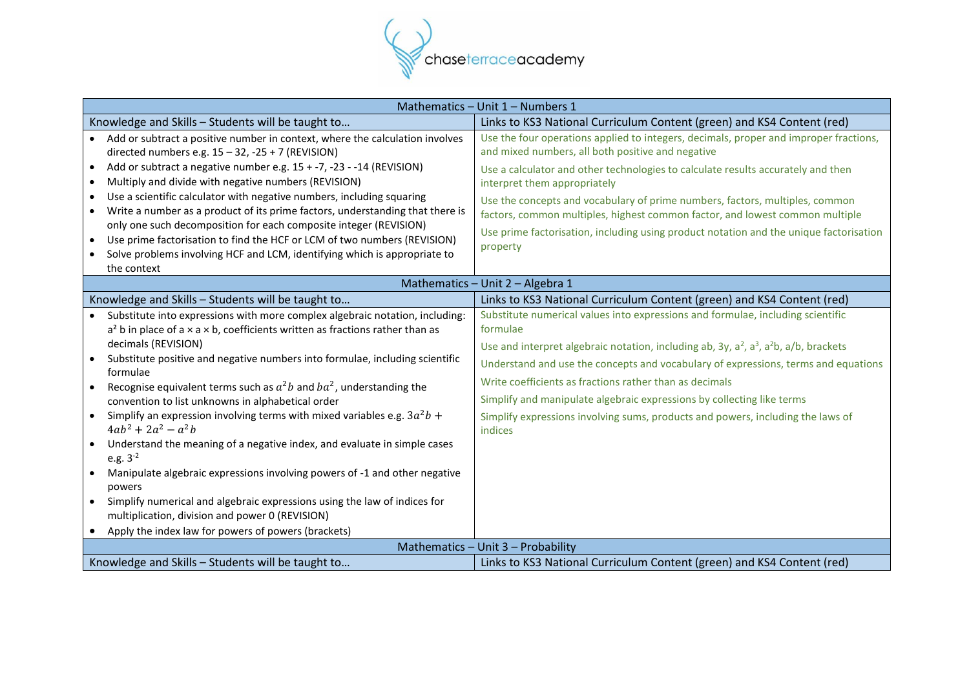

| Mathematics - Unit 1 - Numbers 1                                                                                                                                                                                                                                                                                                                                                                                                                                                                                                                                                                                                                                                                                                                                                                                                                                                                                                                           |                                                                                                                                                                                                                                                                                                                                                                                                                                                                                                                                                   |  |
|------------------------------------------------------------------------------------------------------------------------------------------------------------------------------------------------------------------------------------------------------------------------------------------------------------------------------------------------------------------------------------------------------------------------------------------------------------------------------------------------------------------------------------------------------------------------------------------------------------------------------------------------------------------------------------------------------------------------------------------------------------------------------------------------------------------------------------------------------------------------------------------------------------------------------------------------------------|---------------------------------------------------------------------------------------------------------------------------------------------------------------------------------------------------------------------------------------------------------------------------------------------------------------------------------------------------------------------------------------------------------------------------------------------------------------------------------------------------------------------------------------------------|--|
| Knowledge and Skills - Students will be taught to                                                                                                                                                                                                                                                                                                                                                                                                                                                                                                                                                                                                                                                                                                                                                                                                                                                                                                          | Links to KS3 National Curriculum Content (green) and KS4 Content (red)                                                                                                                                                                                                                                                                                                                                                                                                                                                                            |  |
| Add or subtract a positive number in context, where the calculation involves<br>directed numbers e.g. $15 - 32$ , $-25 + 7$ (REVISION)                                                                                                                                                                                                                                                                                                                                                                                                                                                                                                                                                                                                                                                                                                                                                                                                                     | Use the four operations applied to integers, decimals, proper and improper fractions,<br>and mixed numbers, all both positive and negative                                                                                                                                                                                                                                                                                                                                                                                                        |  |
| Add or subtract a negative number e.g. 15 + -7, -23 - -14 (REVISION)<br>$\bullet$<br>Multiply and divide with negative numbers (REVISION)<br>$\bullet$<br>Use a scientific calculator with negative numbers, including squaring<br>$\bullet$<br>Write a number as a product of its prime factors, understanding that there is<br>only one such decomposition for each composite integer (REVISION)<br>Use prime factorisation to find the HCF or LCM of two numbers (REVISION)<br>$\bullet$                                                                                                                                                                                                                                                                                                                                                                                                                                                                | Use a calculator and other technologies to calculate results accurately and then<br>interpret them appropriately<br>Use the concepts and vocabulary of prime numbers, factors, multiples, common<br>factors, common multiples, highest common factor, and lowest common multiple<br>Use prime factorisation, including using product notation and the unique factorisation                                                                                                                                                                        |  |
| Solve problems involving HCF and LCM, identifying which is appropriate to                                                                                                                                                                                                                                                                                                                                                                                                                                                                                                                                                                                                                                                                                                                                                                                                                                                                                  | property                                                                                                                                                                                                                                                                                                                                                                                                                                                                                                                                          |  |
| the context                                                                                                                                                                                                                                                                                                                                                                                                                                                                                                                                                                                                                                                                                                                                                                                                                                                                                                                                                | Mathematics - Unit 2 - Algebra 1                                                                                                                                                                                                                                                                                                                                                                                                                                                                                                                  |  |
| Knowledge and Skills - Students will be taught to                                                                                                                                                                                                                                                                                                                                                                                                                                                                                                                                                                                                                                                                                                                                                                                                                                                                                                          | Links to KS3 National Curriculum Content (green) and KS4 Content (red)                                                                                                                                                                                                                                                                                                                                                                                                                                                                            |  |
| Substitute into expressions with more complex algebraic notation, including:<br>$a2$ b in place of a $\times$ a $\times$ b, coefficients written as fractions rather than as<br>decimals (REVISION)<br>Substitute positive and negative numbers into formulae, including scientific<br>formulae<br>Recognise equivalent terms such as $a^2b$ and $ba^2$ , understanding the<br>convention to list unknowns in alphabetical order<br>Simplify an expression involving terms with mixed variables e.g. $3a^2b +$<br>$\bullet$<br>$4ab^2 + 2a^2 - a^2b$<br>Understand the meaning of a negative index, and evaluate in simple cases<br>e.g. $3^{-2}$<br>Manipulate algebraic expressions involving powers of -1 and other negative<br>$\bullet$<br>powers<br>Simplify numerical and algebraic expressions using the law of indices for<br>multiplication, division and power 0 (REVISION)<br>Apply the index law for powers of powers (brackets)<br>$\bullet$ | Substitute numerical values into expressions and formulae, including scientific<br>formulae<br>Use and interpret algebraic notation, including ab, 3y, a <sup>2</sup> , a <sup>3</sup> , a <sup>2</sup> b, a/b, brackets<br>Understand and use the concepts and vocabulary of expressions, terms and equations<br>Write coefficients as fractions rather than as decimals<br>Simplify and manipulate algebraic expressions by collecting like terms<br>Simplify expressions involving sums, products and powers, including the laws of<br>indices |  |
| Mathematics - Unit 3 - Probability                                                                                                                                                                                                                                                                                                                                                                                                                                                                                                                                                                                                                                                                                                                                                                                                                                                                                                                         |                                                                                                                                                                                                                                                                                                                                                                                                                                                                                                                                                   |  |
| Knowledge and Skills - Students will be taught to                                                                                                                                                                                                                                                                                                                                                                                                                                                                                                                                                                                                                                                                                                                                                                                                                                                                                                          | Links to KS3 National Curriculum Content (green) and KS4 Content (red)                                                                                                                                                                                                                                                                                                                                                                                                                                                                            |  |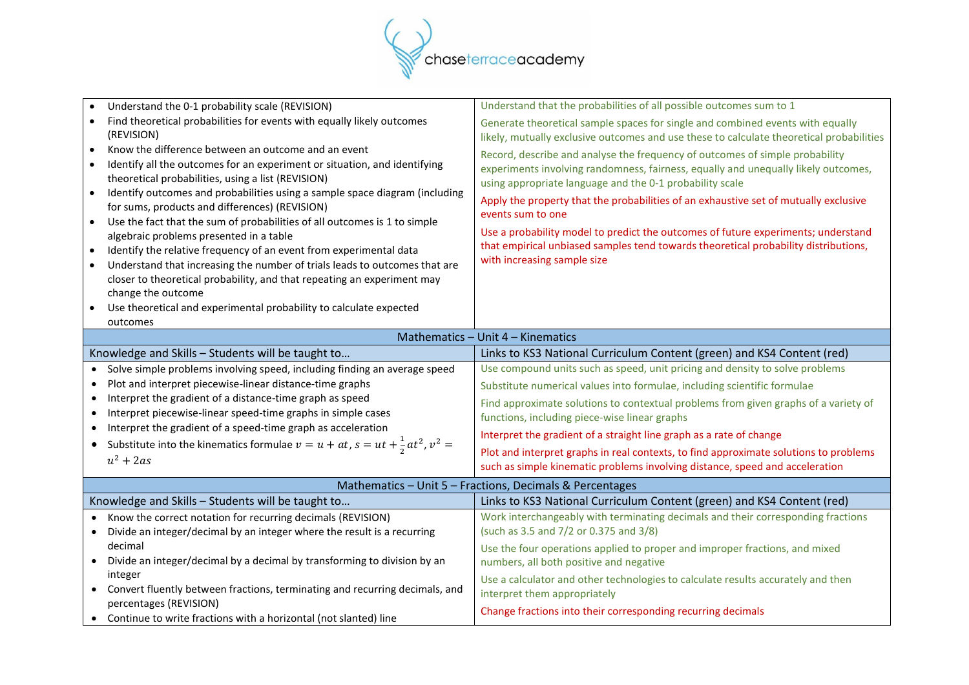

| Understand the 0-1 probability scale (REVISION)                                                                                                                                                                                                                                                                                                                                                                                                                                                                                                                                                                                                                                                                                                                                                                                                                                                                                                              | Understand that the probabilities of all possible outcomes sum to 1                                                                                                                                                                                                                                                                                                                                                                                                                                                                                                                                                                                                                                                                  |  |
|--------------------------------------------------------------------------------------------------------------------------------------------------------------------------------------------------------------------------------------------------------------------------------------------------------------------------------------------------------------------------------------------------------------------------------------------------------------------------------------------------------------------------------------------------------------------------------------------------------------------------------------------------------------------------------------------------------------------------------------------------------------------------------------------------------------------------------------------------------------------------------------------------------------------------------------------------------------|--------------------------------------------------------------------------------------------------------------------------------------------------------------------------------------------------------------------------------------------------------------------------------------------------------------------------------------------------------------------------------------------------------------------------------------------------------------------------------------------------------------------------------------------------------------------------------------------------------------------------------------------------------------------------------------------------------------------------------------|--|
| Find theoretical probabilities for events with equally likely outcomes<br>(REVISION)<br>Know the difference between an outcome and an event<br>$\bullet$<br>Identify all the outcomes for an experiment or situation, and identifying<br>$\bullet$<br>theoretical probabilities, using a list (REVISION)<br>Identify outcomes and probabilities using a sample space diagram (including<br>$\bullet$<br>for sums, products and differences) (REVISION)<br>Use the fact that the sum of probabilities of all outcomes is 1 to simple<br>$\bullet$<br>algebraic problems presented in a table<br>Identify the relative frequency of an event from experimental data<br>$\bullet$<br>Understand that increasing the number of trials leads to outcomes that are<br>$\bullet$<br>closer to theoretical probability, and that repeating an experiment may<br>change the outcome<br>Use theoretical and experimental probability to calculate expected<br>outcomes | Generate theoretical sample spaces for single and combined events with equally<br>likely, mutually exclusive outcomes and use these to calculate theoretical probabilities<br>Record, describe and analyse the frequency of outcomes of simple probability<br>experiments involving randomness, fairness, equally and unequally likely outcomes,<br>using appropriate language and the 0-1 probability scale<br>Apply the property that the probabilities of an exhaustive set of mutually exclusive<br>events sum to one<br>Use a probability model to predict the outcomes of future experiments; understand<br>that empirical unbiased samples tend towards theoretical probability distributions,<br>with increasing sample size |  |
| Mathematics - Unit 4 - Kinematics                                                                                                                                                                                                                                                                                                                                                                                                                                                                                                                                                                                                                                                                                                                                                                                                                                                                                                                            |                                                                                                                                                                                                                                                                                                                                                                                                                                                                                                                                                                                                                                                                                                                                      |  |
| Knowledge and Skills - Students will be taught to                                                                                                                                                                                                                                                                                                                                                                                                                                                                                                                                                                                                                                                                                                                                                                                                                                                                                                            | Links to KS3 National Curriculum Content (green) and KS4 Content (red)                                                                                                                                                                                                                                                                                                                                                                                                                                                                                                                                                                                                                                                               |  |
| Solve simple problems involving speed, including finding an average speed<br>$\bullet$                                                                                                                                                                                                                                                                                                                                                                                                                                                                                                                                                                                                                                                                                                                                                                                                                                                                       | Use compound units such as speed, unit pricing and density to solve problems                                                                                                                                                                                                                                                                                                                                                                                                                                                                                                                                                                                                                                                         |  |
| Plot and interpret piecewise-linear distance-time graphs<br>$\bullet$                                                                                                                                                                                                                                                                                                                                                                                                                                                                                                                                                                                                                                                                                                                                                                                                                                                                                        | Substitute numerical values into formulae, including scientific formulae                                                                                                                                                                                                                                                                                                                                                                                                                                                                                                                                                                                                                                                             |  |
| Interpret the gradient of a distance-time graph as speed<br>$\bullet$                                                                                                                                                                                                                                                                                                                                                                                                                                                                                                                                                                                                                                                                                                                                                                                                                                                                                        | Find approximate solutions to contextual problems from given graphs of a variety of                                                                                                                                                                                                                                                                                                                                                                                                                                                                                                                                                                                                                                                  |  |
| Interpret piecewise-linear speed-time graphs in simple cases<br>$\bullet$                                                                                                                                                                                                                                                                                                                                                                                                                                                                                                                                                                                                                                                                                                                                                                                                                                                                                    | functions, including piece-wise linear graphs                                                                                                                                                                                                                                                                                                                                                                                                                                                                                                                                                                                                                                                                                        |  |
| Interpret the gradient of a speed-time graph as acceleration                                                                                                                                                                                                                                                                                                                                                                                                                                                                                                                                                                                                                                                                                                                                                                                                                                                                                                 | Interpret the gradient of a straight line graph as a rate of change                                                                                                                                                                                                                                                                                                                                                                                                                                                                                                                                                                                                                                                                  |  |
| • Substitute into the kinematics formulae $v = u + at$ , $s = ut + \frac{1}{2}at^2$ , $v^2 =$                                                                                                                                                                                                                                                                                                                                                                                                                                                                                                                                                                                                                                                                                                                                                                                                                                                                | Plot and interpret graphs in real contexts, to find approximate solutions to problems                                                                                                                                                                                                                                                                                                                                                                                                                                                                                                                                                                                                                                                |  |
| $u^2 + 2as$                                                                                                                                                                                                                                                                                                                                                                                                                                                                                                                                                                                                                                                                                                                                                                                                                                                                                                                                                  | such as simple kinematic problems involving distance, speed and acceleration                                                                                                                                                                                                                                                                                                                                                                                                                                                                                                                                                                                                                                                         |  |
|                                                                                                                                                                                                                                                                                                                                                                                                                                                                                                                                                                                                                                                                                                                                                                                                                                                                                                                                                              | Mathematics - Unit 5 - Fractions, Decimals & Percentages                                                                                                                                                                                                                                                                                                                                                                                                                                                                                                                                                                                                                                                                             |  |
| Knowledge and Skills - Students will be taught to                                                                                                                                                                                                                                                                                                                                                                                                                                                                                                                                                                                                                                                                                                                                                                                                                                                                                                            | Links to KS3 National Curriculum Content (green) and KS4 Content (red)                                                                                                                                                                                                                                                                                                                                                                                                                                                                                                                                                                                                                                                               |  |
| Know the correct notation for recurring decimals (REVISION)                                                                                                                                                                                                                                                                                                                                                                                                                                                                                                                                                                                                                                                                                                                                                                                                                                                                                                  | Work interchangeably with terminating decimals and their corresponding fractions                                                                                                                                                                                                                                                                                                                                                                                                                                                                                                                                                                                                                                                     |  |
| Divide an integer/decimal by an integer where the result is a recurring<br>$\bullet$                                                                                                                                                                                                                                                                                                                                                                                                                                                                                                                                                                                                                                                                                                                                                                                                                                                                         | (such as 3.5 and 7/2 or 0.375 and 3/8)                                                                                                                                                                                                                                                                                                                                                                                                                                                                                                                                                                                                                                                                                               |  |
| decimal                                                                                                                                                                                                                                                                                                                                                                                                                                                                                                                                                                                                                                                                                                                                                                                                                                                                                                                                                      | Use the four operations applied to proper and improper fractions, and mixed                                                                                                                                                                                                                                                                                                                                                                                                                                                                                                                                                                                                                                                          |  |
| Divide an integer/decimal by a decimal by transforming to division by an<br>$\bullet$                                                                                                                                                                                                                                                                                                                                                                                                                                                                                                                                                                                                                                                                                                                                                                                                                                                                        | numbers, all both positive and negative                                                                                                                                                                                                                                                                                                                                                                                                                                                                                                                                                                                                                                                                                              |  |
| integer                                                                                                                                                                                                                                                                                                                                                                                                                                                                                                                                                                                                                                                                                                                                                                                                                                                                                                                                                      | Use a calculator and other technologies to calculate results accurately and then                                                                                                                                                                                                                                                                                                                                                                                                                                                                                                                                                                                                                                                     |  |
| • Convert fluently between fractions, terminating and recurring decimals, and                                                                                                                                                                                                                                                                                                                                                                                                                                                                                                                                                                                                                                                                                                                                                                                                                                                                                | interpret them appropriately                                                                                                                                                                                                                                                                                                                                                                                                                                                                                                                                                                                                                                                                                                         |  |
| percentages (REVISION)                                                                                                                                                                                                                                                                                                                                                                                                                                                                                                                                                                                                                                                                                                                                                                                                                                                                                                                                       | Change fractions into their corresponding recurring decimals                                                                                                                                                                                                                                                                                                                                                                                                                                                                                                                                                                                                                                                                         |  |
| • Continue to write fractions with a horizontal (not slanted) line                                                                                                                                                                                                                                                                                                                                                                                                                                                                                                                                                                                                                                                                                                                                                                                                                                                                                           |                                                                                                                                                                                                                                                                                                                                                                                                                                                                                                                                                                                                                                                                                                                                      |  |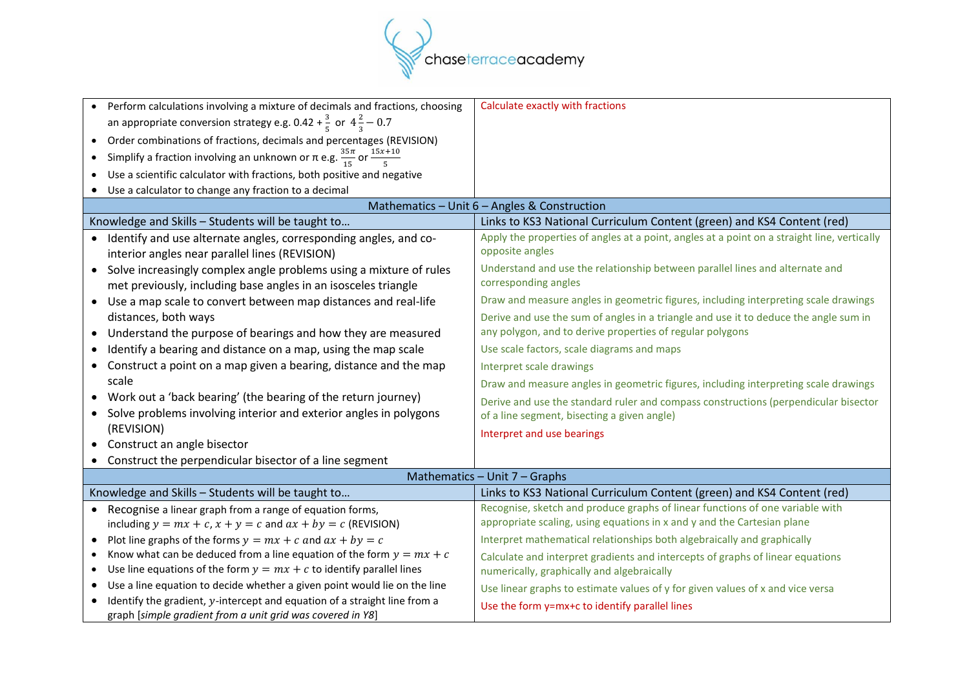

| • Perform calculations involving a mixture of decimals and fractions, choosing<br>an appropriate conversion strategy e.g. 0.42 + $\frac{3}{5}$ or $4\frac{2}{3}$ – 0.7<br>• Order combinations of fractions, decimals and percentages (REVISION)<br>• Simplify a fraction involving an unknown or $\pi$ e.g. $\frac{35\pi}{15}$ or $\frac{15x+10}{5}$<br>Use a scientific calculator with fractions, both positive and negative | Calculate exactly with fractions                                                                                                                         |
|---------------------------------------------------------------------------------------------------------------------------------------------------------------------------------------------------------------------------------------------------------------------------------------------------------------------------------------------------------------------------------------------------------------------------------|----------------------------------------------------------------------------------------------------------------------------------------------------------|
| • Use a calculator to change any fraction to a decimal                                                                                                                                                                                                                                                                                                                                                                          | Mathematics - Unit 6 - Angles & Construction                                                                                                             |
| Knowledge and Skills - Students will be taught to                                                                                                                                                                                                                                                                                                                                                                               | Links to KS3 National Curriculum Content (green) and KS4 Content (red)                                                                                   |
| Identify and use alternate angles, corresponding angles, and co-<br>interior angles near parallel lines (REVISION)                                                                                                                                                                                                                                                                                                              | Apply the properties of angles at a point, angles at a point on a straight line, vertically<br>opposite angles                                           |
| • Solve increasingly complex angle problems using a mixture of rules<br>met previously, including base angles in an isosceles triangle                                                                                                                                                                                                                                                                                          | Understand and use the relationship between parallel lines and alternate and<br>corresponding angles                                                     |
| Use a map scale to convert between map distances and real-life<br>$\bullet$                                                                                                                                                                                                                                                                                                                                                     | Draw and measure angles in geometric figures, including interpreting scale drawings                                                                      |
| distances, both ways                                                                                                                                                                                                                                                                                                                                                                                                            | Derive and use the sum of angles in a triangle and use it to deduce the angle sum in                                                                     |
| Understand the purpose of bearings and how they are measured                                                                                                                                                                                                                                                                                                                                                                    | any polygon, and to derive properties of regular polygons                                                                                                |
| Identify a bearing and distance on a map, using the map scale                                                                                                                                                                                                                                                                                                                                                                   | Use scale factors, scale diagrams and maps                                                                                                               |
| Construct a point on a map given a bearing, distance and the map                                                                                                                                                                                                                                                                                                                                                                | Interpret scale drawings                                                                                                                                 |
| scale                                                                                                                                                                                                                                                                                                                                                                                                                           | Draw and measure angles in geometric figures, including interpreting scale drawings                                                                      |
| • Work out a 'back bearing' (the bearing of the return journey)                                                                                                                                                                                                                                                                                                                                                                 | Derive and use the standard ruler and compass constructions (perpendicular bisector                                                                      |
| • Solve problems involving interior and exterior angles in polygons                                                                                                                                                                                                                                                                                                                                                             | of a line segment, bisecting a given angle)                                                                                                              |
| (REVISION)                                                                                                                                                                                                                                                                                                                                                                                                                      | Interpret and use bearings                                                                                                                               |
| • Construct an angle bisector                                                                                                                                                                                                                                                                                                                                                                                                   |                                                                                                                                                          |
| Construct the perpendicular bisector of a line segment                                                                                                                                                                                                                                                                                                                                                                          |                                                                                                                                                          |
|                                                                                                                                                                                                                                                                                                                                                                                                                                 | Mathematics - Unit 7 - Graphs                                                                                                                            |
| Knowledge and Skills - Students will be taught to                                                                                                                                                                                                                                                                                                                                                                               | Links to KS3 National Curriculum Content (green) and KS4 Content (red)                                                                                   |
| • Recognise a linear graph from a range of equation forms,                                                                                                                                                                                                                                                                                                                                                                      | Recognise, sketch and produce graphs of linear functions of one variable with<br>appropriate scaling, using equations in x and y and the Cartesian plane |
| including $y = mx + c$ , $x + y = c$ and $ax + by = c$ (REVISION)                                                                                                                                                                                                                                                                                                                                                               |                                                                                                                                                          |
| Plot line graphs of the forms $y = mx + c$ and $ax + by = c$<br>$\bullet$<br>Know what can be deduced from a line equation of the form $y = mx + c$                                                                                                                                                                                                                                                                             | Interpret mathematical relationships both algebraically and graphically                                                                                  |
| Use line equations of the form $y = mx + c$ to identify parallel lines<br>$\bullet$                                                                                                                                                                                                                                                                                                                                             | Calculate and interpret gradients and intercepts of graphs of linear equations<br>numerically, graphically and algebraically                             |
| Use a line equation to decide whether a given point would lie on the line                                                                                                                                                                                                                                                                                                                                                       |                                                                                                                                                          |
| Identify the gradient, y-intercept and equation of a straight line from a<br>graph [simple gradient from a unit grid was covered in Y8]                                                                                                                                                                                                                                                                                         | Use linear graphs to estimate values of y for given values of x and vice versa<br>Use the form y=mx+c to identify parallel lines                         |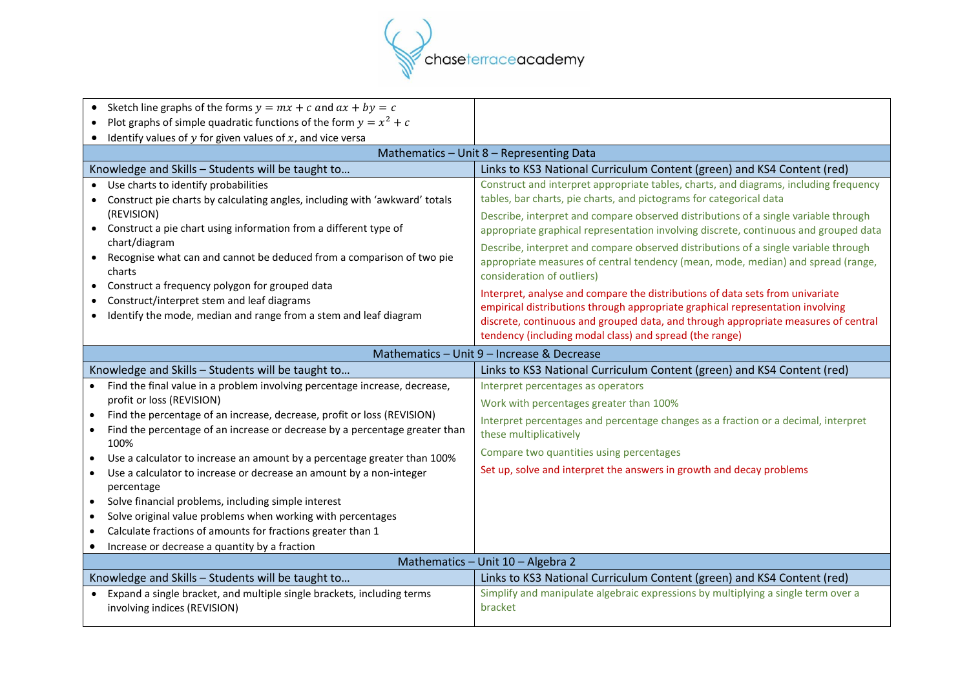

| • Sketch line graphs of the forms $y = mx + c$ and $ax + by = c$<br>Plot graphs of simple quadratic functions of the form $y = x^2 + c$<br>$\bullet$<br>Identify values of $y$ for given values of $x$ , and vice versa                                                                                                                                                                                                                                                                                                                                                                                                                                                                                         |                                                                                                                                                                                                                                                                                                                                                                                                                                                                                                                                                                                                                                                                                                                                                                                                               |  |
|-----------------------------------------------------------------------------------------------------------------------------------------------------------------------------------------------------------------------------------------------------------------------------------------------------------------------------------------------------------------------------------------------------------------------------------------------------------------------------------------------------------------------------------------------------------------------------------------------------------------------------------------------------------------------------------------------------------------|---------------------------------------------------------------------------------------------------------------------------------------------------------------------------------------------------------------------------------------------------------------------------------------------------------------------------------------------------------------------------------------------------------------------------------------------------------------------------------------------------------------------------------------------------------------------------------------------------------------------------------------------------------------------------------------------------------------------------------------------------------------------------------------------------------------|--|
| Mathematics - Unit 8 - Representing Data                                                                                                                                                                                                                                                                                                                                                                                                                                                                                                                                                                                                                                                                        |                                                                                                                                                                                                                                                                                                                                                                                                                                                                                                                                                                                                                                                                                                                                                                                                               |  |
| Knowledge and Skills - Students will be taught to                                                                                                                                                                                                                                                                                                                                                                                                                                                                                                                                                                                                                                                               | Links to KS3 National Curriculum Content (green) and KS4 Content (red)                                                                                                                                                                                                                                                                                                                                                                                                                                                                                                                                                                                                                                                                                                                                        |  |
| • Use charts to identify probabilities<br>Construct pie charts by calculating angles, including with 'awkward' totals<br>(REVISION)<br>• Construct a pie chart using information from a different type of<br>chart/diagram<br>Recognise what can and cannot be deduced from a comparison of two pie<br>$\bullet$<br>charts<br>Construct a frequency polygon for grouped data<br>Construct/interpret stem and leaf diagrams<br>Identify the mode, median and range from a stem and leaf diagram                                                                                                                                                                                                                  | Construct and interpret appropriate tables, charts, and diagrams, including frequency<br>tables, bar charts, pie charts, and pictograms for categorical data<br>Describe, interpret and compare observed distributions of a single variable through<br>appropriate graphical representation involving discrete, continuous and grouped data<br>Describe, interpret and compare observed distributions of a single variable through<br>appropriate measures of central tendency (mean, mode, median) and spread (range,<br>consideration of outliers)<br>Interpret, analyse and compare the distributions of data sets from univariate<br>empirical distributions through appropriate graphical representation involving<br>discrete, continuous and grouped data, and through appropriate measures of central |  |
|                                                                                                                                                                                                                                                                                                                                                                                                                                                                                                                                                                                                                                                                                                                 | tendency (including modal class) and spread (the range)                                                                                                                                                                                                                                                                                                                                                                                                                                                                                                                                                                                                                                                                                                                                                       |  |
| Mathematics - Unit 9 - Increase & Decrease                                                                                                                                                                                                                                                                                                                                                                                                                                                                                                                                                                                                                                                                      |                                                                                                                                                                                                                                                                                                                                                                                                                                                                                                                                                                                                                                                                                                                                                                                                               |  |
| Knowledge and Skills - Students will be taught to                                                                                                                                                                                                                                                                                                                                                                                                                                                                                                                                                                                                                                                               |                                                                                                                                                                                                                                                                                                                                                                                                                                                                                                                                                                                                                                                                                                                                                                                                               |  |
|                                                                                                                                                                                                                                                                                                                                                                                                                                                                                                                                                                                                                                                                                                                 | Links to KS3 National Curriculum Content (green) and KS4 Content (red)                                                                                                                                                                                                                                                                                                                                                                                                                                                                                                                                                                                                                                                                                                                                        |  |
| • Find the final value in a problem involving percentage increase, decrease,<br>profit or loss (REVISION)<br>Find the percentage of an increase, decrease, profit or loss (REVISION)<br>Find the percentage of an increase or decrease by a percentage greater than<br>$\bullet$<br>100%<br>Use a calculator to increase an amount by a percentage greater than 100%<br>$\bullet$<br>Use a calculator to increase or decrease an amount by a non-integer<br>$\bullet$<br>percentage<br>Solve financial problems, including simple interest<br>$\bullet$<br>Solve original value problems when working with percentages<br>$\bullet$<br>Calculate fractions of amounts for fractions greater than 1<br>$\bullet$ | Interpret percentages as operators<br>Work with percentages greater than 100%<br>Interpret percentages and percentage changes as a fraction or a decimal, interpret<br>these multiplicatively<br>Compare two quantities using percentages<br>Set up, solve and interpret the answers in growth and decay problems                                                                                                                                                                                                                                                                                                                                                                                                                                                                                             |  |
| Increase or decrease a quantity by a fraction<br>٠                                                                                                                                                                                                                                                                                                                                                                                                                                                                                                                                                                                                                                                              |                                                                                                                                                                                                                                                                                                                                                                                                                                                                                                                                                                                                                                                                                                                                                                                                               |  |
| Knowledge and Skills - Students will be taught to                                                                                                                                                                                                                                                                                                                                                                                                                                                                                                                                                                                                                                                               | Mathematics - Unit 10 - Algebra 2<br>Links to KS3 National Curriculum Content (green) and KS4 Content (red)                                                                                                                                                                                                                                                                                                                                                                                                                                                                                                                                                                                                                                                                                                   |  |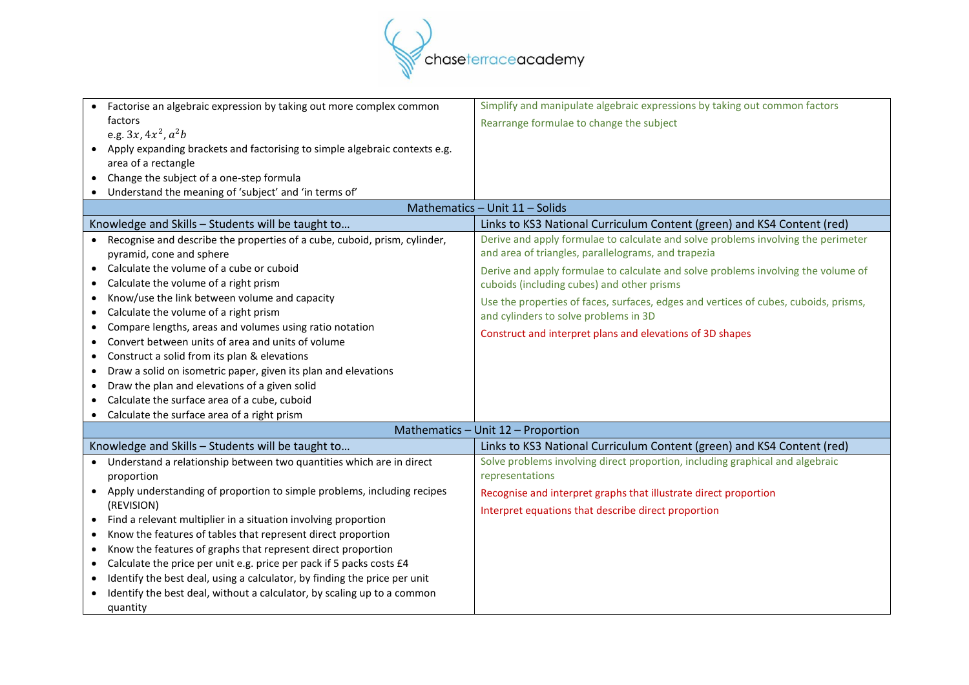

| Factorise an algebraic expression by taking out more complex common                    | Simplify and manipulate algebraic expressions by taking out common factors           |
|----------------------------------------------------------------------------------------|--------------------------------------------------------------------------------------|
| factors                                                                                | Rearrange formulae to change the subject                                             |
| e.g. $3x, 4x^2, a^2b$                                                                  |                                                                                      |
| Apply expanding brackets and factorising to simple algebraic contexts e.g.             |                                                                                      |
| area of a rectangle                                                                    |                                                                                      |
| • Change the subject of a one-step formula                                             |                                                                                      |
| • Understand the meaning of 'subject' and 'in terms of'                                |                                                                                      |
|                                                                                        | Mathematics - Unit 11 - Solids                                                       |
| Knowledge and Skills - Students will be taught to                                      | Links to KS3 National Curriculum Content (green) and KS4 Content (red)               |
| • Recognise and describe the properties of a cube, cuboid, prism, cylinder,            | Derive and apply formulae to calculate and solve problems involving the perimeter    |
| pyramid, cone and sphere                                                               | and area of triangles, parallelograms, and trapezia                                  |
| Calculate the volume of a cube or cuboid<br>$\bullet$                                  | Derive and apply formulae to calculate and solve problems involving the volume of    |
| Calculate the volume of a right prism                                                  | cuboids (including cubes) and other prisms                                           |
| Know/use the link between volume and capacity<br>$\bullet$                             | Use the properties of faces, surfaces, edges and vertices of cubes, cuboids, prisms, |
| Calculate the volume of a right prism<br>$\bullet$                                     | and cylinders to solve problems in 3D                                                |
| Compare lengths, areas and volumes using ratio notation<br>$\bullet$                   | Construct and interpret plans and elevations of 3D shapes                            |
| Convert between units of area and units of volume<br>$\bullet$                         |                                                                                      |
| Construct a solid from its plan & elevations<br>$\bullet$                              |                                                                                      |
| Draw a solid on isometric paper, given its plan and elevations<br>$\bullet$            |                                                                                      |
| Draw the plan and elevations of a given solid<br>٠                                     |                                                                                      |
| Calculate the surface area of a cube, cuboid                                           |                                                                                      |
| Calculate the surface area of a right prism<br>$\bullet$                               |                                                                                      |
|                                                                                        | Mathematics - Unit 12 - Proportion                                                   |
| Knowledge and Skills - Students will be taught to                                      | Links to KS3 National Curriculum Content (green) and KS4 Content (red)               |
| • Understand a relationship between two quantities which are in direct                 | Solve problems involving direct proportion, including graphical and algebraic        |
| proportion                                                                             | representations                                                                      |
| • Apply understanding of proportion to simple problems, including recipes              | Recognise and interpret graphs that illustrate direct proportion                     |
| (REVISION)                                                                             | Interpret equations that describe direct proportion                                  |
| • Find a relevant multiplier in a situation involving proportion                       |                                                                                      |
| Know the features of tables that represent direct proportion<br>$\bullet$              |                                                                                      |
| Know the features of graphs that represent direct proportion<br>$\bullet$              |                                                                                      |
| Calculate the price per unit e.g. price per pack if 5 packs costs £4<br>$\bullet$      |                                                                                      |
| Identify the best deal, using a calculator, by finding the price per unit<br>$\bullet$ |                                                                                      |
| Identify the best deal, without a calculator, by scaling up to a common                |                                                                                      |
| quantity                                                                               |                                                                                      |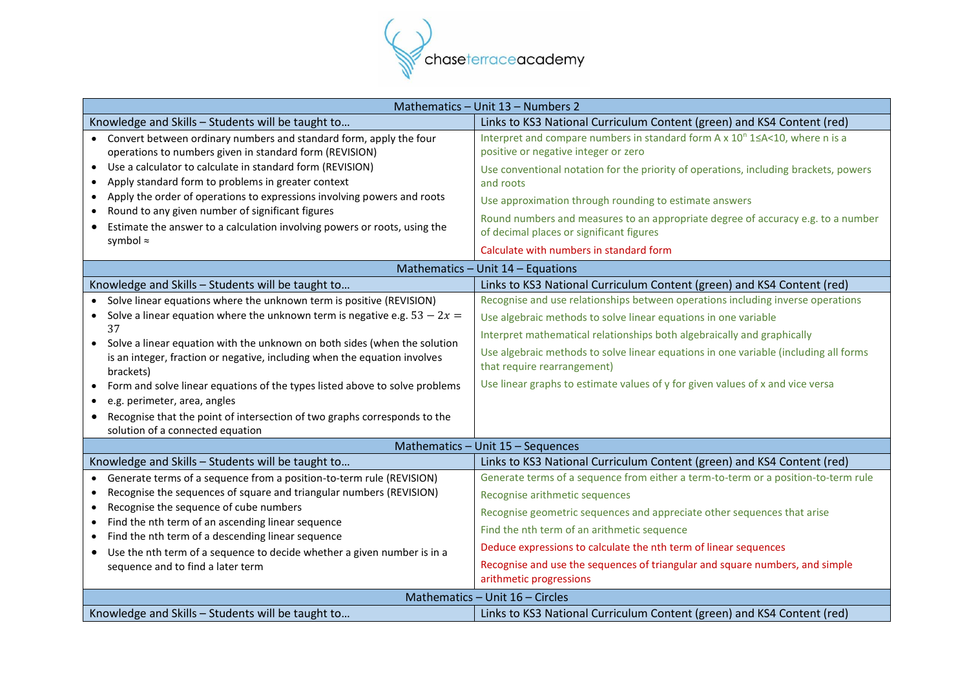

| Mathematics - Unit 13 - Numbers 2                                                                            |                                                                                                                     |  |
|--------------------------------------------------------------------------------------------------------------|---------------------------------------------------------------------------------------------------------------------|--|
| Knowledge and Skills - Students will be taught to                                                            | Links to KS3 National Curriculum Content (green) and KS4 Content (red)                                              |  |
| • Convert between ordinary numbers and standard form, apply the four                                         | Interpret and compare numbers in standard form A x 10 <sup>n</sup> 1 ≤ A < 10, where n is a                         |  |
| operations to numbers given in standard form (REVISION)                                                      | positive or negative integer or zero                                                                                |  |
| Use a calculator to calculate in standard form (REVISION)<br>$\bullet$                                       | Use conventional notation for the priority of operations, including brackets, powers                                |  |
| Apply standard form to problems in greater context<br>$\bullet$                                              | and roots                                                                                                           |  |
| Apply the order of operations to expressions involving powers and roots<br>$\bullet$                         | Use approximation through rounding to estimate answers                                                              |  |
| Round to any given number of significant figures<br>$\bullet$                                                | Round numbers and measures to an appropriate degree of accuracy e.g. to a number                                    |  |
| Estimate the answer to a calculation involving powers or roots, using the<br>$\bullet$                       | of decimal places or significant figures                                                                            |  |
| symbol ≈                                                                                                     | Calculate with numbers in standard form                                                                             |  |
|                                                                                                              | Mathematics - Unit 14 - Equations                                                                                   |  |
| Knowledge and Skills - Students will be taught to                                                            | Links to KS3 National Curriculum Content (green) and KS4 Content (red)                                              |  |
| Solve linear equations where the unknown term is positive (REVISION)                                         | Recognise and use relationships between operations including inverse operations                                     |  |
| • Solve a linear equation where the unknown term is negative e.g. $53 - 2x =$                                | Use algebraic methods to solve linear equations in one variable                                                     |  |
| 37                                                                                                           | Interpret mathematical relationships both algebraically and graphically                                             |  |
| • Solve a linear equation with the unknown on both sides (when the solution                                  |                                                                                                                     |  |
| is an integer, fraction or negative, including when the equation involves                                    | Use algebraic methods to solve linear equations in one variable (including all forms<br>that require rearrangement) |  |
| brackets)                                                                                                    |                                                                                                                     |  |
| Form and solve linear equations of the types listed above to solve problems                                  | Use linear graphs to estimate values of y for given values of x and vice versa                                      |  |
| e.g. perimeter, area, angles                                                                                 |                                                                                                                     |  |
| Recognise that the point of intersection of two graphs corresponds to the<br>$\bullet$                       |                                                                                                                     |  |
| solution of a connected equation                                                                             | Mathematics - Unit 15 - Sequences                                                                                   |  |
| Knowledge and Skills - Students will be taught to                                                            | Links to KS3 National Curriculum Content (green) and KS4 Content (red)                                              |  |
| Generate terms of a sequence from a position-to-term rule (REVISION)                                         | Generate terms of a sequence from either a term-to-term or a position-to-term rule                                  |  |
| Recognise the sequences of square and triangular numbers (REVISION)<br>$\bullet$                             |                                                                                                                     |  |
| Recognise the sequence of cube numbers<br>$\bullet$                                                          | Recognise arithmetic sequences                                                                                      |  |
| Find the nth term of an ascending linear sequence<br>$\bullet$                                               | Recognise geometric sequences and appreciate other sequences that arise                                             |  |
| Find the nth term of a descending linear sequence<br>$\bullet$                                               | Find the nth term of an arithmetic sequence                                                                         |  |
| Use the nth term of a sequence to decide whether a given number is in a<br>sequence and to find a later term | Deduce expressions to calculate the nth term of linear sequences                                                    |  |
|                                                                                                              | Recognise and use the sequences of triangular and square numbers, and simple                                        |  |
|                                                                                                              | arithmetic progressions                                                                                             |  |
| Mathematics - Unit 16 - Circles                                                                              |                                                                                                                     |  |
| Knowledge and Skills - Students will be taught to                                                            | Links to KS3 National Curriculum Content (green) and KS4 Content (red)                                              |  |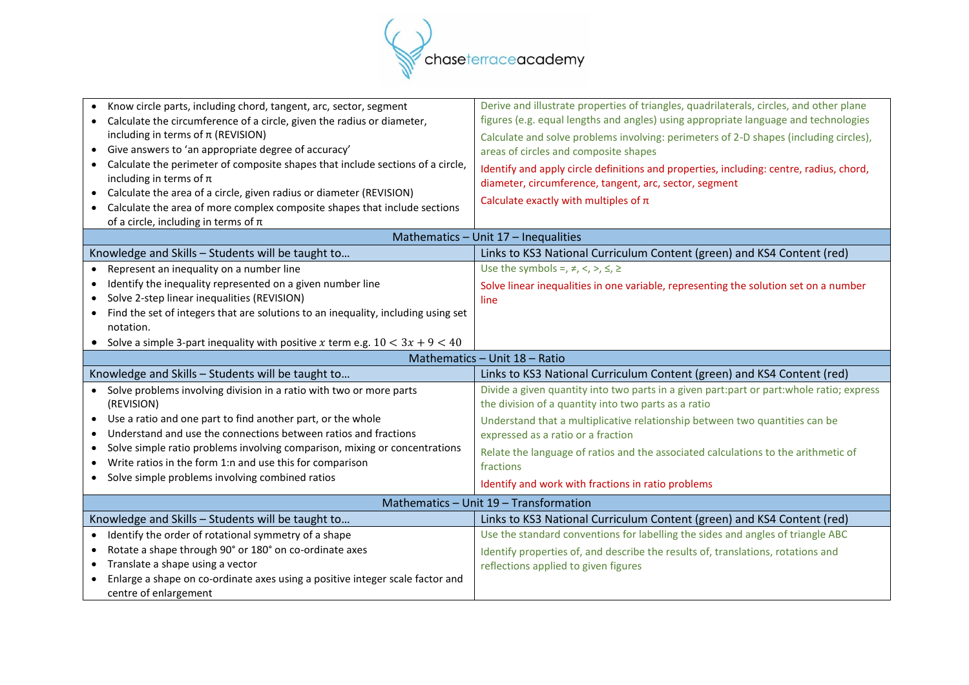

| Know circle parts, including chord, tangent, arc, sector, segment<br>Calculate the circumference of a circle, given the radius or diameter,<br>including in terms of $\pi$ (REVISION)<br>Give answers to 'an appropriate degree of accuracy'<br>Calculate the perimeter of composite shapes that include sections of a circle,<br>including in terms of $\pi$<br>Calculate the area of a circle, given radius or diameter (REVISION)<br>Calculate the area of more complex composite shapes that include sections<br>of a circle, including in terms of $\pi$ | Derive and illustrate properties of triangles, quadrilaterals, circles, and other plane<br>figures (e.g. equal lengths and angles) using appropriate language and technologies<br>Calculate and solve problems involving: perimeters of 2-D shapes (including circles),<br>areas of circles and composite shapes<br>Identify and apply circle definitions and properties, including: centre, radius, chord,<br>diameter, circumference, tangent, arc, sector, segment<br>Calculate exactly with multiples of $\pi$<br>Mathematics - Unit 17 - Inequalities |
|---------------------------------------------------------------------------------------------------------------------------------------------------------------------------------------------------------------------------------------------------------------------------------------------------------------------------------------------------------------------------------------------------------------------------------------------------------------------------------------------------------------------------------------------------------------|------------------------------------------------------------------------------------------------------------------------------------------------------------------------------------------------------------------------------------------------------------------------------------------------------------------------------------------------------------------------------------------------------------------------------------------------------------------------------------------------------------------------------------------------------------|
| Knowledge and Skills - Students will be taught to                                                                                                                                                                                                                                                                                                                                                                                                                                                                                                             | Links to KS3 National Curriculum Content (green) and KS4 Content (red)                                                                                                                                                                                                                                                                                                                                                                                                                                                                                     |
| Represent an inequality on a number line<br>$\bullet$                                                                                                                                                                                                                                                                                                                                                                                                                                                                                                         | Use the symbols =, $\neq$ , <, >, $\leq$ , $\geq$                                                                                                                                                                                                                                                                                                                                                                                                                                                                                                          |
| Identify the inequality represented on a given number line<br>$\bullet$                                                                                                                                                                                                                                                                                                                                                                                                                                                                                       |                                                                                                                                                                                                                                                                                                                                                                                                                                                                                                                                                            |
| Solve 2-step linear inequalities (REVISION)                                                                                                                                                                                                                                                                                                                                                                                                                                                                                                                   | Solve linear inequalities in one variable, representing the solution set on a number<br>line                                                                                                                                                                                                                                                                                                                                                                                                                                                               |
| Find the set of integers that are solutions to an inequality, including using set                                                                                                                                                                                                                                                                                                                                                                                                                                                                             |                                                                                                                                                                                                                                                                                                                                                                                                                                                                                                                                                            |
| notation.                                                                                                                                                                                                                                                                                                                                                                                                                                                                                                                                                     |                                                                                                                                                                                                                                                                                                                                                                                                                                                                                                                                                            |
| • Solve a simple 3-part inequality with positive x term e.g. $10 < 3x + 9 < 40$                                                                                                                                                                                                                                                                                                                                                                                                                                                                               |                                                                                                                                                                                                                                                                                                                                                                                                                                                                                                                                                            |
| Mathematics - Unit 18 - Ratio                                                                                                                                                                                                                                                                                                                                                                                                                                                                                                                                 |                                                                                                                                                                                                                                                                                                                                                                                                                                                                                                                                                            |
|                                                                                                                                                                                                                                                                                                                                                                                                                                                                                                                                                               |                                                                                                                                                                                                                                                                                                                                                                                                                                                                                                                                                            |
| Knowledge and Skills - Students will be taught to                                                                                                                                                                                                                                                                                                                                                                                                                                                                                                             | Links to KS3 National Curriculum Content (green) and KS4 Content (red)                                                                                                                                                                                                                                                                                                                                                                                                                                                                                     |
| • Solve problems involving division in a ratio with two or more parts                                                                                                                                                                                                                                                                                                                                                                                                                                                                                         | Divide a given quantity into two parts in a given part:part or part:whole ratio; express                                                                                                                                                                                                                                                                                                                                                                                                                                                                   |
| (REVISION)                                                                                                                                                                                                                                                                                                                                                                                                                                                                                                                                                    | the division of a quantity into two parts as a ratio                                                                                                                                                                                                                                                                                                                                                                                                                                                                                                       |
| Use a ratio and one part to find another part, or the whole                                                                                                                                                                                                                                                                                                                                                                                                                                                                                                   | Understand that a multiplicative relationship between two quantities can be                                                                                                                                                                                                                                                                                                                                                                                                                                                                                |
| Understand and use the connections between ratios and fractions<br>$\bullet$                                                                                                                                                                                                                                                                                                                                                                                                                                                                                  | expressed as a ratio or a fraction                                                                                                                                                                                                                                                                                                                                                                                                                                                                                                                         |
| Solve simple ratio problems involving comparison, mixing or concentrations                                                                                                                                                                                                                                                                                                                                                                                                                                                                                    | Relate the language of ratios and the associated calculations to the arithmetic of                                                                                                                                                                                                                                                                                                                                                                                                                                                                         |
| Write ratios in the form 1:n and use this for comparison                                                                                                                                                                                                                                                                                                                                                                                                                                                                                                      | fractions                                                                                                                                                                                                                                                                                                                                                                                                                                                                                                                                                  |
| • Solve simple problems involving combined ratios                                                                                                                                                                                                                                                                                                                                                                                                                                                                                                             | Identify and work with fractions in ratio problems                                                                                                                                                                                                                                                                                                                                                                                                                                                                                                         |
|                                                                                                                                                                                                                                                                                                                                                                                                                                                                                                                                                               | Mathematics - Unit 19 - Transformation                                                                                                                                                                                                                                                                                                                                                                                                                                                                                                                     |
| Knowledge and Skills - Students will be taught to                                                                                                                                                                                                                                                                                                                                                                                                                                                                                                             | Links to KS3 National Curriculum Content (green) and KS4 Content (red)                                                                                                                                                                                                                                                                                                                                                                                                                                                                                     |
| Identify the order of rotational symmetry of a shape                                                                                                                                                                                                                                                                                                                                                                                                                                                                                                          | Use the standard conventions for labelling the sides and angles of triangle ABC                                                                                                                                                                                                                                                                                                                                                                                                                                                                            |
| Rotate a shape through 90° or 180° on co-ordinate axes<br>$\bullet$                                                                                                                                                                                                                                                                                                                                                                                                                                                                                           | Identify properties of, and describe the results of, translations, rotations and                                                                                                                                                                                                                                                                                                                                                                                                                                                                           |
| Translate a shape using a vector<br>$\bullet$                                                                                                                                                                                                                                                                                                                                                                                                                                                                                                                 | reflections applied to given figures                                                                                                                                                                                                                                                                                                                                                                                                                                                                                                                       |
| Enlarge a shape on co-ordinate axes using a positive integer scale factor and<br>centre of enlargement                                                                                                                                                                                                                                                                                                                                                                                                                                                        |                                                                                                                                                                                                                                                                                                                                                                                                                                                                                                                                                            |